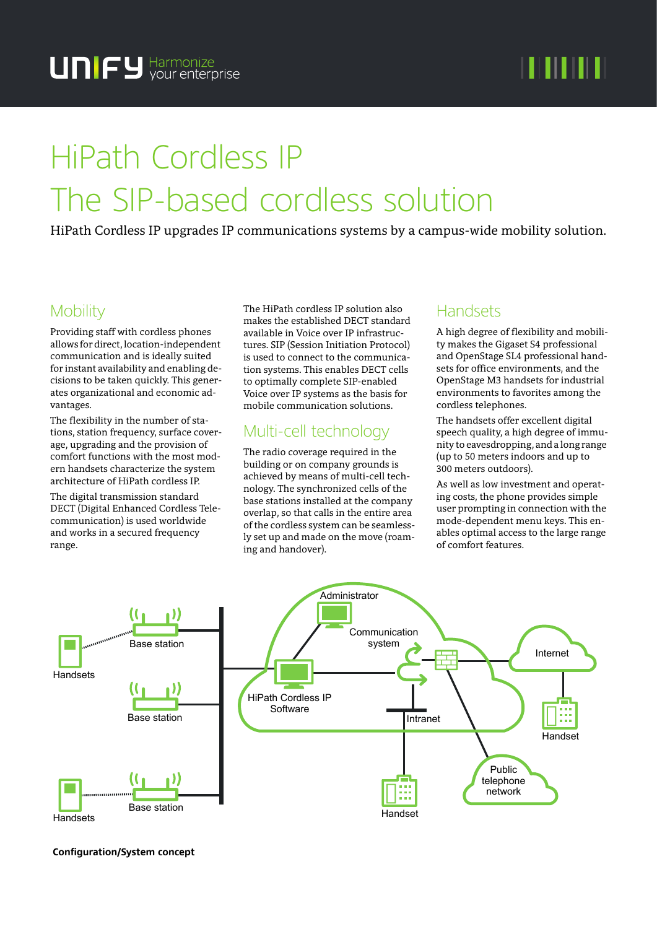# HiPath Cordless IP The SIP-based cordless solution

HiPath Cordless IP upgrades IP communications systems by a campus-wide mobility solution.

# **Mobility**

Providing staff with cordless phones allows for direct, location-independent communication and is ideally suited for instant availability and enabling decisions to be taken quickly. This generates organizational and economic advantages.

The flexibility in the number of stations, station frequency, surface coverage, upgrading and the provision of comfort functions with the most modern handsets characterize the system architecture of HiPath cordless IP.

The digital transmission standard DECT (Digital Enhanced Cordless Telecommunication) is used worldwide and works in a secured frequency range.

The HiPath cordless IP solution also makes the established DECT standard available in Voice over IP infrastructures. SIP (Session Initiation Protocol) is used to connect to the communication systems. This enables DECT cells to optimally complete SIP-enabled Voice over IP systems as the basis for mobile communication solutions.

# Multi-cell technology

The radio coverage required in the building or on company grounds is achieved by means of multi-cell technology. The synchronized cells of the base stations installed at the company overlap, so that calls in the entire area of the cordless system can be seamlessly set up and made on the move (roaming and handover).

# **Handsets**

A high degree of flexibility and mobility makes the Gigaset S4 professional and OpenStage SL4 professional handsets for office environments, and the OpenStage M3 handsets for industrial environments to favorites among the cordless telephones.

The handsets offer excellent digital speech quality, a high degree of immunity to eavesdropping, and a long range (up to 50 meters indoors and up to 300 meters outdoors).

As well as low investment and operating costs, the phone provides simple user prompting in connection with the mode-dependent menu keys. This enables optimal access to the large range of comfort features.



**Configuration/System concept**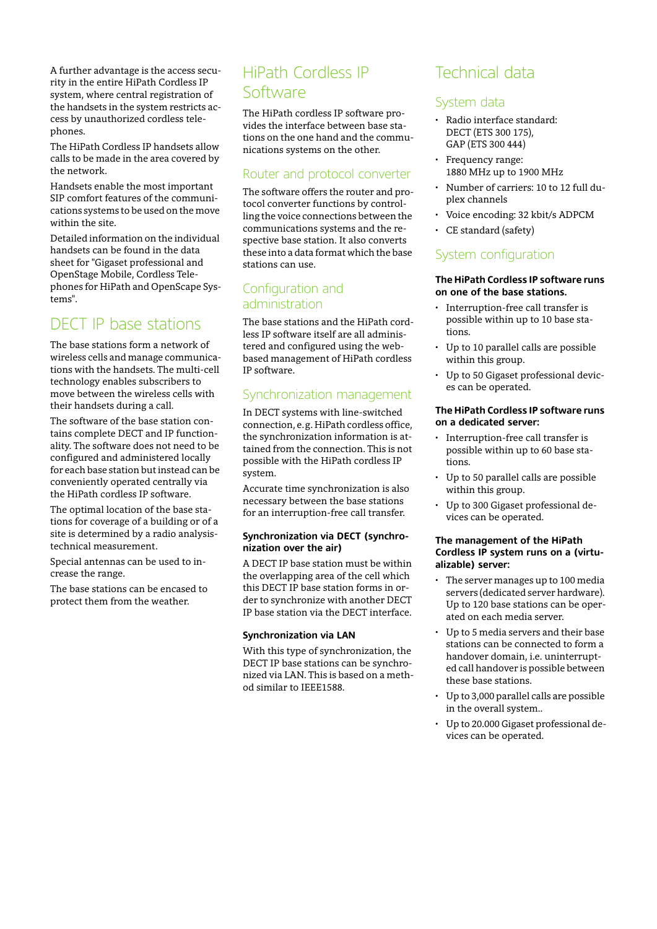A further advantage is the access security in the entire HiPath Cordless IP system, where central registration of the handsets in the system restricts access by unauthorized cordless telephones.

The HiPath Cordless IP handsets allow calls to be made in the area covered by the network.

Handsets enable the most important SIP comfort features of the communications systems to be used on the move within the site.

Detailed information on the individual handsets can be found in the data sheet for "Gigaset professional and OpenStage Mobile, Cordless Telephones for HiPath and OpenScape Systems".

# DECT IP base stations

The base stations form a network of wireless cells and manage communications with the handsets. The multi-cell technology enables subscribers to move between the wireless cells with their handsets during a call.

The software of the base station contains complete DECT and IP functionality. The software does not need to be configured and administered locally for each base station but instead can be conveniently operated centrally via the HiPath cordless IP software.

The optimal location of the base stations for coverage of a building or of a site is determined by a radio analysistechnical measurement.

Special antennas can be used to increase the range.

The base stations can be encased to protect them from the weather.

# HiPath Cordless IP Software

The HiPath cordless IP software provides the interface between base stations on the one hand and the communications systems on the other.

## Router and protocol converter

The software offers the router and protocol converter functions by controlling the voice connections between the communications systems and the respective base station. It also converts these into a data format which the base stations can use.

## Configuration and administration

The base stations and the HiPath cordless IP software itself are all administered and configured using the webbased management of HiPath cordless IP software.

## Synchronization management

In DECT systems with line-switched connection, e. g. HiPath cordless office, the synchronization information is attained from the connection. This is not possible with the HiPath cordless IP system.

Accurate time synchronization is also necessary between the base stations for an interruption-free call transfer.

#### **Synchronization via DECT (synchronization over the air)**

A DECT IP base station must be within the overlapping area of the cell which this DECT IP base station forms in order to synchronize with another DECT IP base station via the DECT interface.

#### **Synchronization via LAN**

With this type of synchronization, the DECT IP base stations can be synchronized via LAN. This is based on a method similar to IEEE1588.

# Technical data

## System data

- Radio interface standard: DECT (ETS 300 175), GAP (ETS 300 444)
- Frequency range: 1880 MHz up to 1900 MHz
- Number of carriers: 10 to 12 full duplex channels
- Voice encoding: 32 kbit/s ADPCM
- CE standard (safety)

## System configuration

#### **The HiPath Cordless IP software runs on one of the base stations.**

- Interruption-free call transfer is possible within up to 10 base stations.
- Up to 10 parallel calls are possible within this group.
- Up to 50 Gigaset professional devices can be operated.

#### **The HiPath Cordless IP software runs on a dedicated server:**

- Interruption-free call transfer is possible within up to 60 base stations.
- Up to 50 parallel calls are possible within this group.
- Up to 300 Gigaset professional devices can be operated.

#### **The management of the HiPath Cordless IP system runs on a (virtualizable) server:**

- The server manages up to 100 media servers (dedicated server hardware). Up to 120 base stations can be operated on each media server.
- Up to 5 media servers and their base stations can be connected to form a handover domain, i.e. uninterrupted call handover is possible between these base stations.
- Up to 3,000 parallel calls are possible in the overall system..
- Up to 20.000 Gigaset professional devices can be operated.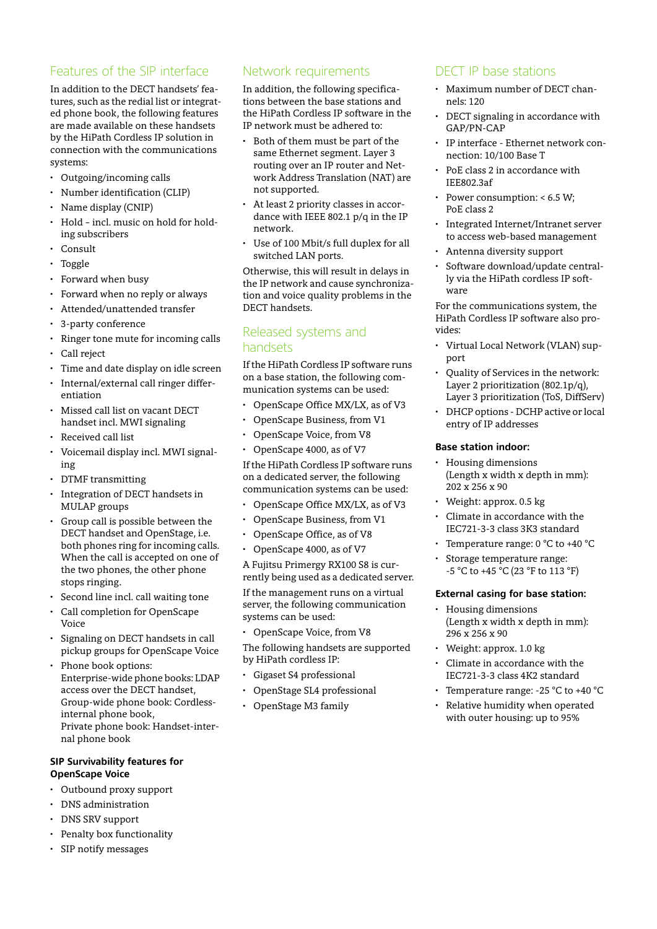## Features of the SIP interface

In addition to the DECT handsets' features, such as the redial list or integrated phone book, the following features are made available on these handsets by the HiPath Cordless IP solution in connection with the communications systems:

- Outgoing/incoming calls
- Number identification (CLIP)
- Name display (CNIP)
- Hold incl. music on hold for holding subscribers
- Consult
- Toggle
- Forward when busy
- Forward when no reply or always
- Attended/unattended transfer
- 3-party conference
- Ringer tone mute for incoming calls
- Call reject
- Time and date display on idle screen
- Internal/external call ringer differentiation
- Missed call list on vacant DECT handset incl. MWI signaling
- Received call list
- Voicemail display incl. MWI signaling
- DTMF transmitting
- Integration of DECT handsets in MULAP groups
- Group call is possible between the DECT handset and OpenStage, i.e. both phones ring for incoming calls. When the call is accepted on one of the two phones, the other phone stops ringing.
- Second line incl. call waiting tone
- Call completion for OpenScape Voice
- Signaling on DECT handsets in call pickup groups for OpenScape Voice
- Phone book options: Enterprise-wide phone books: LDAP access over the DECT handset, Group-wide phone book: Cordlessinternal phone book, Private phone book: Handset-internal phone book

#### **SIP Survivability features for OpenScape Voice**

- Outbound proxy support
- DNS administration
- DNS SRV support
- Penalty box functionality
- SIP notify messages

## Network requirements

In addition, the following specifications between the base stations and the HiPath Cordless IP software in the IP network must be adhered to:

- Both of them must be part of the same Ethernet segment. Layer 3 routing over an IP router and Network Address Translation (NAT) are not supported.
- At least 2 priority classes in accordance with IEEE 802.1 p/q in the IP network.
- Use of 100 Mbit/s full duplex for all switched LAN ports.

Otherwise, this will result in delays in the IP network and cause synchronization and voice quality problems in the DECT handsets.

#### Released systems and handsets

If the HiPath Cordless IP software runs on a base station, the following communication systems can be used:

- OpenScape Office MX/LX, as of V3
- OpenScape Business, from V1
- OpenScape Voice, from V8
- OpenScape 4000, as of V7

If the HiPath Cordless IP software runs on a dedicated server, the following communication systems can be used:

- OpenScape Office MX/LX, as of V3
- OpenScape Business, from V1
- OpenScape Office, as of V8
- OpenScape 4000, as of V7

A Fujitsu Primergy RX100 S8 is currently being used as a dedicated server.

If the management runs on a virtual server, the following communication systems can be used:

• OpenScape Voice, from V8

The following handsets are supported by HiPath cordless IP:

- Gigaset S4 professional
- OpenStage SL4 professional
- OpenStage M3 family

## DECT IP base stations

- Maximum number of DECT channels: 120
- DECT signaling in accordance with GAP/PN-CAP
- IP interface Ethernet network connection: 10/100 Base T
- PoE class 2 in accordance with IEE802.3af
- Power consumption: < 6.5 W; PoE class 2
- Integrated Internet/Intranet server to access web-based management
- Antenna diversity support
- Software download/update centrally via the HiPath cordless IP software

For the communications system, the HiPath Cordless IP software also provides:

- Virtual Local Network (VLAN) support
- Quality of Services in the network: Layer 2 prioritization (802.1p/q), Layer 3 prioritization (ToS, DiffServ)
- DHCP options DCHP active or local entry of IP addresses

#### **Base station indoor:**

- Housing dimensions (Length x width x depth in mm): 202 x 256 x 90
- Weight: approx. 0.5 kg
- Climate in accordance with the IEC721-3-3 class 3K3 standard
- Temperature range:  $0^{\circ}$ C to +40  $^{\circ}$ C
- Storage temperature range: -5 °C to +45 °C (23 °F to 113 °F)

#### **External casing for base station:**

- Housing dimensions (Length x width x depth in mm): 296 x 256 x 90
- Weight: approx. 1.0 kg
- Climate in accordance with the IEC721-3-3 class 4K2 standard
- Temperature range:  $-25$  °C to  $+40$  °C
- Relative humidity when operated with outer housing: up to 95%